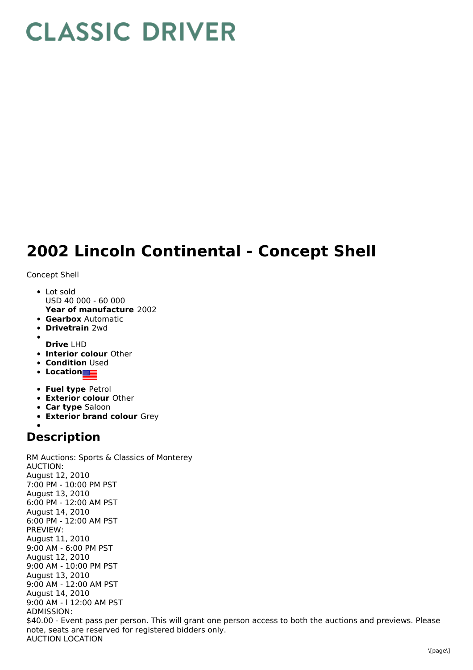## **CLASSIC DRIVER**

## **2002 Lincoln Continental - Concept Shell**

Concept Shell

- **Year of manufacture** 2002 • Lot sold USD 40 000 - 60 000
- **Gearbox** Automatic
- **Drivetrain** 2wd
- 
- **Drive** LHD
- **Interior colour** Other
- **Condition Used**
- **Location**
- **Fuel type** Petrol
- **Exterior colour** Other
- **Car type** Saloon
- **Exterior brand colour** Grey

## **Description**

RM Auctions: Sports & Classics of Monterey AUCTION: August 12, 2010 7:00 PM - 10:00 PM PST August 13, 2010 6:00 PM - 12:00 AM PST August 14, 2010 6:00 PM - 12:00 AM PST PREVIEW: August 11, 2010 9:00 AM - 6:00 PM PST August 12, 2010 9:00 AM - 10:00 PM PST August 13, 2010 9:00 AM - 12:00 AM PST August 14, 2010 9:00 AM - l 12:00 AM PST ADMISSION: \$40.00 - Event pass per person. This will grant one person access to both the auctions and previews. Please note, seats are reserved for registered bidders only. AUCTION LOCATION